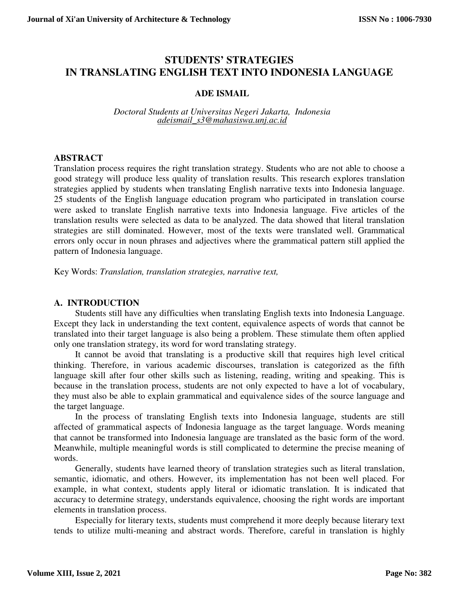# **STUDENTS' STRATEGIES IN TRANSLATING ENGLISH TEXT INTO INDONESIA LANGUAGE**

# **ADE ISMAIL**

*Doctoral Students at Universitas Negeri Jakarta, Indonesia adeismail\_s3@mahasiswa.unj.ac.id*

# **ABSTRACT**

Translation process requires the right translation strategy. Students who are not able to choose a good strategy will produce less quality of translation results. This research explores translation strategies applied by students when translating English narrative texts into Indonesia language. 25 students of the English language education program who participated in translation course were asked to translate English narrative texts into Indonesia language. Five articles of the translation results were selected as data to be analyzed. The data showed that literal translation strategies are still dominated. However, most of the texts were translated well. Grammatical errors only occur in noun phrases and adjectives where the grammatical pattern still applied the pattern of Indonesia language.

Key Words: *Translation, translation strategies, narrative text,* 

# **A. INTRODUCTION**

Students still have any difficulties when translating English texts into Indonesia Language. Except they lack in understanding the text content, equivalence aspects of words that cannot be translated into their target language is also being a problem. These stimulate them often applied only one translation strategy, its word for word translating strategy.

It cannot be avoid that translating is a productive skill that requires high level critical thinking. Therefore, in various academic discourses, translation is categorized as the fifth language skill after four other skills such as listening, reading, writing and speaking. This is because in the translation process, students are not only expected to have a lot of vocabulary, they must also be able to explain grammatical and equivalence sides of the source language and the target language.

In the process of translating English texts into Indonesia language, students are still affected of grammatical aspects of Indonesia language as the target language. Words meaning that cannot be transformed into Indonesia language are translated as the basic form of the word. Meanwhile, multiple meaningful words is still complicated to determine the precise meaning of words.

Generally, students have learned theory of translation strategies such as literal translation, semantic, idiomatic, and others. However, its implementation has not been well placed. For example, in what context, students apply literal or idiomatic translation. It is indicated that accuracy to determine strategy, understands equivalence, choosing the right words are important elements in translation process.

Especially for literary texts, students must comprehend it more deeply because literary text tends to utilize multi-meaning and abstract words. Therefore, careful in translation is highly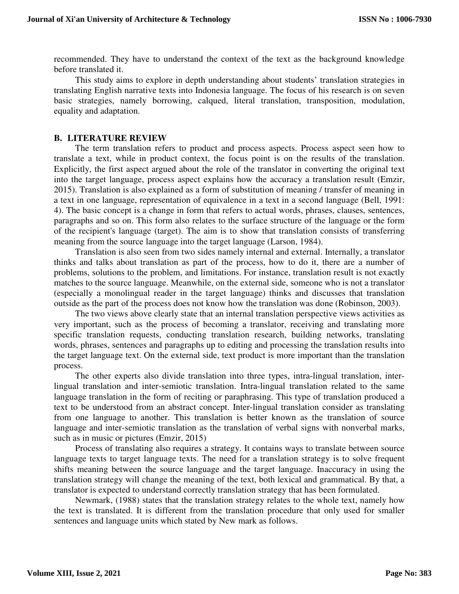recommended. They have to understand the context of the text as the background knowledge before translated it.

This study aims to explore in depth understanding about students' translation strategies in translating English narrative texts into Indonesia language. The focus of his research is on seven basic strategies, namely borrowing, calqued, literal translation, transposition, modulation, equality and adaptation.

#### **B. LITERATURE REVIEW**

The term translation refers to product and process aspects. Process aspect seen how to translate a text, while in product context, the focus point is on the results of the translation. Explicitly, the first aspect argued about the role of the translator in converting the original text into the target language, process aspect explains how the accuracy a translation result (Emzir, 2015). Translation is also explained as a form of substitution of meaning / transfer of meaning in a text in one language, representation of equivalence in a text in a second language (Bell, 1991: 4). The basic concept is a change in form that refers to actual words, phrases, clauses, sentences, paragraphs and so on. This form also relates to the surface structure of the language or the form of the recipient's language (target). The aim is to show that translation consists of transferring meaning from the source language into the target language (Larson, 1984).

Translation is also seen from two sides namely internal and external. Internally, a translator thinks and talks about translation as part of the process, how to do it, there are a number of problems, solutions to the problem, and limitations. For instance, translation result is not exactly matches to the source language. Meanwhile, on the external side, someone who is not a translator (especially a monolingual reader in the target language) thinks and discusses that translation outside as the part of the process does not know how the translation was done (Robinson, 2003).

The two views above clearly state that an internal translation perspective views activities as very important, such as the process of becoming a translator, receiving and translating more specific translation requests, conducting translation research, building networks, translating words, phrases, sentences and paragraphs up to editing and processing the translation results into the target language text. On the external side, text product is more important than the translation process.

The other experts also divide translation into three types, intra-lingual translation, interlingual translation and inter-semiotic translation. Intra-lingual translation related to the same language translation in the form of reciting or paraphrasing. This type of translation produced a text to be understood from an abstract concept. Inter-lingual translation consider as translating from one language to another. This translation is better known as the translation of source language and inter-semiotic translation as the translation of verbal signs with nonverbal marks, such as in music or pictures (Emzir, 2015)

Process of translating also requires a strategy. It contains ways to translate between source language texts to target language texts. The need for a translation strategy is to solve frequent shifts meaning between the source language and the target language. Inaccuracy in using the translation strategy will change the meaning of the text, both lexical and grammatical. By that, a translator is expected to understand correctly translation strategy that has been formulated.

Newmark, (1988) states that the translation strategy relates to the whole text, namely how the text is translated. It is different from the translation procedure that only used for smaller sentences and language units which stated by New mark as follows.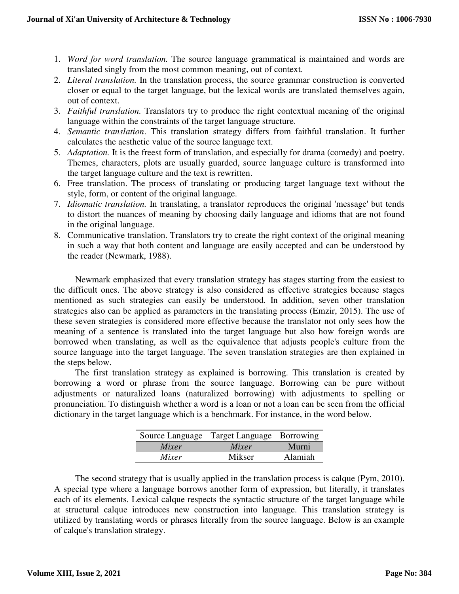- 1. *Word for word translation.* The source language grammatical is maintained and words are translated singly from the most common meaning, out of context.
- 2. *Literal translation.* In the translation process, the source grammar construction is converted closer or equal to the target language, but the lexical words are translated themselves again, out of context.
- 3. *Faithful translation.* Translators try to produce the right contextual meaning of the original language within the constraints of the target language structure.
- 4. *Semantic translation*. This translation strategy differs from faithful translation. It further calculates the aesthetic value of the source language text.
- 5. *Adaptation.* It is the freest form of translation, and especially for drama (comedy) and poetry. Themes, characters, plots are usually guarded, source language culture is transformed into the target language culture and the text is rewritten.
- 6. Free translation. The process of translating or producing target language text without the style, form, or content of the original language.
- 7. *Idiomatic translation.* In translating, a translator reproduces the original 'message' but tends to distort the nuances of meaning by choosing daily language and idioms that are not found in the original language.
- 8. Communicative translation. Translators try to create the right context of the original meaning in such a way that both content and language are easily accepted and can be understood by the reader (Newmark, 1988).

Newmark emphasized that every translation strategy has stages starting from the easiest to the difficult ones. The above strategy is also considered as effective strategies because stages mentioned as such strategies can easily be understood. In addition, seven other translation strategies also can be applied as parameters in the translating process (Emzir, 2015). The use of these seven strategies is considered more effective because the translator not only sees how the meaning of a sentence is translated into the target language but also how foreign words are borrowed when translating, as well as the equivalence that adjusts people's culture from the source language into the target language. The seven translation strategies are then explained in the steps below.

The first translation strategy as explained is borrowing. This translation is created by borrowing a word or phrase from the source language. Borrowing can be pure without adjustments or naturalized loans (naturalized borrowing) with adjustments to spelling or pronunciation. To distinguish whether a word is a loan or not a loan can be seen from the official dictionary in the target language which is a benchmark. For instance, in the word below.

|       | Source Language Target Language Borrowing |         |
|-------|-------------------------------------------|---------|
| Mixer | Mixer                                     | Murni   |
| Mixer | Mikser                                    | Alamiah |

The second strategy that is usually applied in the translation process is calque (Pym, 2010). A special type where a language borrows another form of expression, but literally, it translates each of its elements. Lexical calque respects the syntactic structure of the target language while at structural calque introduces new construction into language. This translation strategy is utilized by translating words or phrases literally from the source language. Below is an example of calque's translation strategy.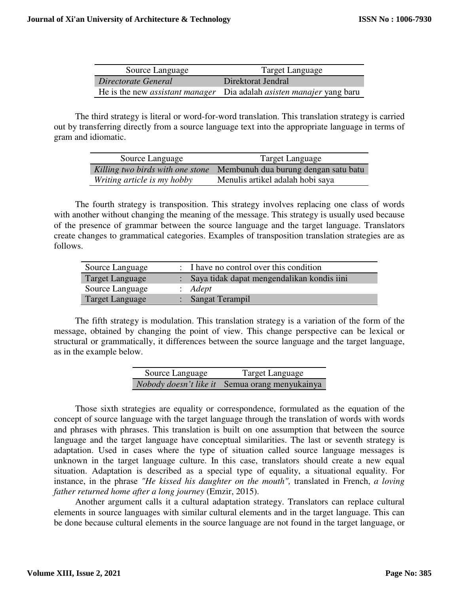| Source Language     | Target Language                                                                    |
|---------------------|------------------------------------------------------------------------------------|
| Directorate General | Direktorat Jendral                                                                 |
|                     | He is the new <i>assistant manager</i> Dia adalah <i>asisten manajer</i> yang baru |

The third strategy is literal or word-for-word translation. This translation strategy is carried out by transferring directly from a source language text into the appropriate language in terms of gram and idiomatic.

| Source Language             | Target Language                                                       |
|-----------------------------|-----------------------------------------------------------------------|
|                             | Killing two birds with one stone Membunuh dua burung dengan satu batu |
| Writing article is my hobby | Menulis artikel adalah hobi saya                                      |

The fourth strategy is transposition. This strategy involves replacing one class of words with another without changing the meaning of the message. This strategy is usually used because of the presence of grammar between the source language and the target language. Translators create changes to grammatical categories. Examples of transposition translation strategies are as follows.

| Source Language        | : I have no control over this condition      |
|------------------------|----------------------------------------------|
| Target Language        | : Saya tidak dapat mengendalikan kondis iini |
| Source Language        | $: \; A$ dept                                |
| <b>Target Language</b> | Sangat Terampil                              |

The fifth strategy is modulation. This translation strategy is a variation of the form of the message, obtained by changing the point of view. This change perspective can be lexical or structural or grammatically, it differences between the source language and the target language, as in the example below.

| Source Language | Target Language                                       |
|-----------------|-------------------------------------------------------|
|                 | <i>Nobody doesn't like it</i> Semua orang menyukainya |

Those sixth strategies are equality or correspondence, formulated as the equation of the concept of source language with the target language through the translation of words with words and phrases with phrases. This translation is built on one assumption that between the source language and the target language have conceptual similarities. The last or seventh strategy is adaptation. Used in cases where the type of situation called source language messages is unknown in the target language culture. In this case, translators should create a new equal situation. Adaptation is described as a special type of equality, a situational equality. For instance, in the phrase *"He kissed his daughter on the mouth",* translated in French, *a loving father returned home after a long journey* (Emzir, 2015).

Another argument calls it a cultural adaptation strategy. Translators can replace cultural elements in source languages with similar cultural elements and in the target language. This can be done because cultural elements in the source language are not found in the target language, or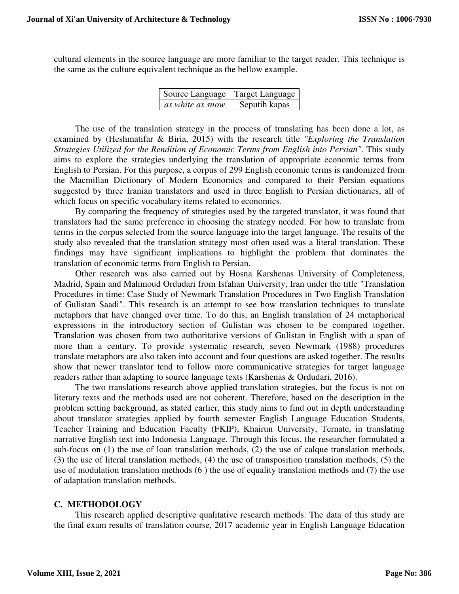cultural elements in the source language are more familiar to the target reader. This technique is the same as the culture equivalent technique as the bellow example.

| Source Language   Target Language |               |
|-----------------------------------|---------------|
| as white as snow                  | Seputih kapas |

The use of the translation strategy in the process of translating has been done a lot, as examined by (Heshmatifar & Biria, 2015) with the research title *"Exploring the Translation Strategies Utilized for the Rendition of Economic Terms from English into Persian".* This study aims to explore the strategies underlying the translation of appropriate economic terms from English to Persian. For this purpose, a corpus of 299 English economic terms is randomized from the Macmillan Dictionary of Modern Economics and compared to their Persian equations suggested by three Iranian translators and used in three English to Persian dictionaries, all of which focus on specific vocabulary items related to economics.

By comparing the frequency of strategies used by the targeted translator, it was found that translators had the same preference in choosing the strategy needed. For how to translate from terms in the corpus selected from the source language into the target language. The results of the study also revealed that the translation strategy most often used was a literal translation. These findings may have significant implications to highlight the problem that dominates the translation of economic terms from English to Persian.

Other research was also carried out by Hosna Karshenas University of Completeness, Madrid, Spain and Mahmoud Ordudari from Isfahan University, Iran under the title "Translation Procedures in time: Case Study of Newmark Translation Procedures in Two English Translation of Gulistan Saadi". This research is an attempt to see how translation techniques to translate metaphors that have changed over time. To do this, an English translation of 24 metaphorical expressions in the introductory section of Gulistan was chosen to be compared together. Translation was chosen from two authoritative versions of Gulistan in English with a span of more than a century. To provide systematic research, seven Newmark (1988) procedures translate metaphors are also taken into account and four questions are asked together. The results show that newer translator tend to follow more communicative strategies for target language readers rather than adapting to source language texts (Karshenas & Ordudari, 2016).

The two translations research above applied translation strategies, but the focus is not on literary texts and the methods used are not coherent. Therefore, based on the description in the problem setting background, as stated earlier, this study aims to find out in depth understanding about translator strategies applied by fourth semester English Language Education Students, Teacher Training and Education Faculty (FKIP), Khairun University, Ternate, in translating narrative English text into Indonesia Language. Through this focus, the researcher formulated a sub-focus on (1) the use of loan translation methods, (2) the use of calque translation methods, (3) the use of literal translation methods, (4) the use of transposition translation methods, (5) the use of modulation translation methods (6 ) the use of equality translation methods and (7) the use of adaptation translation methods.

#### **C. METHODOLOGY**

 This research applied descriptive qualitative research methods. The data of this study are the final exam results of translation course, 2017 academic year in English Language Education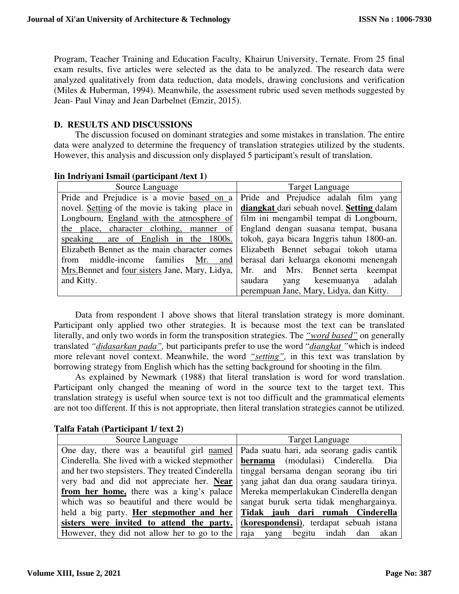Program, Teacher Training and Education Faculty, Khairun University, Ternate. From 25 final exam results, five articles were selected as the data to be analyzed. The research data were analyzed qualitatively from data reduction, data models, drawing conclusions and verification (Miles & Huberman, 1994). Meanwhile, the assessment rubric used seven methods suggested by Jean- Paul Vinay and Jean Darbelnet (Emzir, 2015).

# **D. RESULTS AND DISCUSSIONS**

The discussion focused on dominant strategies and some mistakes in translation. The entire data were analyzed to determine the frequency of translation strategies utilized by the students. However, this analysis and discussion only displayed 5 participant's result of translation.

| Source Language                                                                | <b>Target Language</b>                    |
|--------------------------------------------------------------------------------|-------------------------------------------|
| Pride and Prejudice is a movie based on a Pride and Prejudice adalah film yang |                                           |
| novel. Setting of the movie is taking place in                                 | diangkat dari sebuah novel. Setting dalam |
| Longbourn, England with the atmosphere of                                      | film ini mengambil tempat di Longbourn,   |
| the place, character clothing, manner of                                       | England dengan suasana tempat, busana     |
| speaking are of English in the 1800s.                                          | tokoh, gaya bicara Inggris tahun 1800-an. |
| Elizabeth Bennet as the main character comes                                   | Elizabeth Bennet sebagai tokoh utama      |
| middle-income families Mr. and<br>from                                         | berasal dari keluarga ekonomi menengah    |
| Mrs. Bennet and four sisters Jane, Mary, Lidya,                                | Mr. and Mrs. Bennet serta keempat         |
| and Kitty.                                                                     | adalah<br>saudara<br>yang kesemuanya      |
|                                                                                | perempuan Jane, Mary, Lidya, dan Kitty.   |

#### **Iin Indriyani Ismail (participant /text 1)**

Data from respondent 1 above shows that literal translation strategy is more dominant. Participant only applied two other strategies. It is because most the text can be translated literally, and only two words in form the transposition strategies. The *"word based"* on generally translated *"didasarkan pada",* but participants prefer to use the word "*diangkat "*which is indeed more relevant novel context. Meanwhile, the word *"setting",* in this text was translation by borrowing strategy from English which has the setting background for shooting in the film.

As explained by Newmark (1988) that literal translation is word for word translation. Participant only changed the meaning of word in the source text to the target text. This translation strategy is useful when source text is not too difficult and the grammatical elements are not too different. If this is not appropriate, then literal translation strategies cannot be utilized.

# **Talfa Fatah (Participant 1/ text 2)**

| Source Language                                  | Target Language                              |
|--------------------------------------------------|----------------------------------------------|
| One day, there was a beautiful girl named        | Pada suatu hari, ada seorang gadis cantik    |
| Cinderella. She lived with a wicked stepmother   | <b>bernama</b> (modulasi) Cinderella.<br>Dia |
| and her two stepsisters. They treated Cinderella | tinggal bersama dengan seorang ibu tiri      |
| very bad and did not appreciate her. Near        | yang jahat dan dua orang saudara tirinya.    |
| from her home, there was a king's palace         | Mereka memperlakukan Cinderella dengan       |
| which was so beautiful and there would be        | sangat buruk serta tidak menghargainya.      |
| held a big party. Her stepmother and her         | Tidak jauh dari rumah Cinderella             |
| sisters were invited to attend the party.        | (korespondensi), terdapat sebuah istana      |
| However, they did not allow her to go to the     | yang begitu indah dan<br>akan<br>raja        |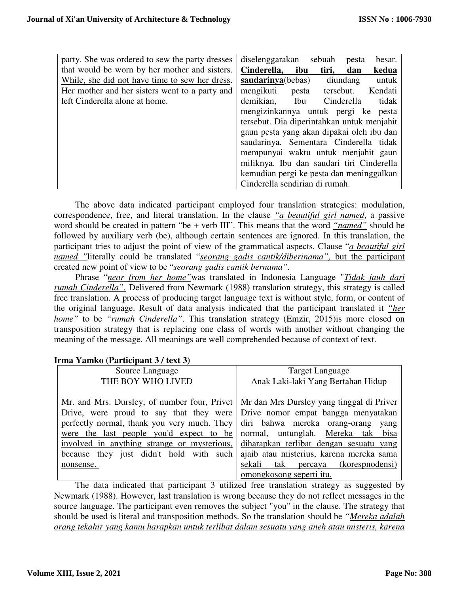| party. She was ordered to sew the party dresses | diselenggarakan<br>sebuah<br>besar.<br>pesta    |
|-------------------------------------------------|-------------------------------------------------|
| that would be worn by her mother and sisters.   | Cinderella,<br>ibu<br>kedua<br>tiri,<br>dan     |
| While, she did not have time to sew her dress.  | saud <u>arinya</u> (bebas)<br>diundang<br>untuk |
| Her mother and her sisters went to a party and  | mengikuti<br>pesta tersebut. Kendati            |
| left Cinderella alone at home.                  | demikian,<br>Cinderella<br>tidak<br>Ibu         |
|                                                 | mengizinkannya untuk pergi ke pesta             |
|                                                 | tersebut. Dia diperintahkan untuk menjahit      |
|                                                 | gaun pesta yang akan dipakai oleh ibu dan       |
|                                                 | saudarinya. Sementara Cinderella tidak          |
|                                                 | mempunyai waktu untuk menjahit gaun             |
|                                                 | miliknya. Ibu dan saudari tiri Cinderella       |
|                                                 | kemudian pergi ke pesta dan meninggalkan        |
|                                                 | Cinderella sendirian di rumah.                  |

The above data indicated participant employed four translation strategies: modulation, correspondence, free, and literal translation. In the clause *"a beautiful girl named*, a passive word should be created in pattern "be + verb III". This means that the word *"named"* should be followed by auxiliary verb (be), although certain sentences are ignored. In this translation, the participant tries to adjust the point of view of the grammatical aspects. Clause "*a beautiful girl named* "literally could be translated "*seorang gadis cantik/diberinama*", but the participant created new point of view to be "*seorang gadis cantik bernama".*

Phrase "*near from her home"*was translated in Indonesia Language "*Tidak jauh dari rumah Cinderella".* Delivered from Newmark (1988) translation strategy, this strategy is called free translation. A process of producing target language text is without style, form, or content of the original language. Result of data analysis indicated that the participant translated it *"her home"* to be *"rumah Cinderella"*. This translation strategy (Emzir, 2015)is more closed on transposition strategy that is replacing one class of words with another without changing the meaning of the message. All meanings are well comprehended because of context of text.

| Source Language                                                                          | <b>Target Language</b>                   |
|------------------------------------------------------------------------------------------|------------------------------------------|
| THE BOY WHO LIVED                                                                        | Anak Laki-laki Yang Bertahan Hidup       |
|                                                                                          |                                          |
| Mr. and Mrs. Dursley, of number four, Privet   Mr dan Mrs Dursley yang tinggal di Priver |                                          |
| Drive, were proud to say that they were Drive nomor empat bangga menyatakan              |                                          |
| perfectly normal, thank you very much. They diri bahwa mereka orang-orang                | yang                                     |
| were the last people you'd expect to be normal, untunglah. Mereka tak bisa               |                                          |
| involved in anything strange or mysterious,                                              | diharapkan terlibat dengan sesuatu yang  |
| because they just didn't hold with such                                                  | ajaib atau misterius, karena mereka sama |
| nonsense.                                                                                | sekali<br>tak percaya (korespnodensi)    |
|                                                                                          | omongkosong seperti itu.                 |

# **Irma Yamko (Participant 3 / text 3)**

The data indicated that participant 3 utilized free translation strategy as suggested by Newmark (1988). However, last translation is wrong because they do not reflect messages in the source language. The participant even removes the subject "you" in the clause. The strategy that should be used is literal and transposition methods. So the translation should be *"Mereka adalah orang tekahir yang kamu harapkan untuk terlibat dalam sesuatu yang aneh atau misteris, karena*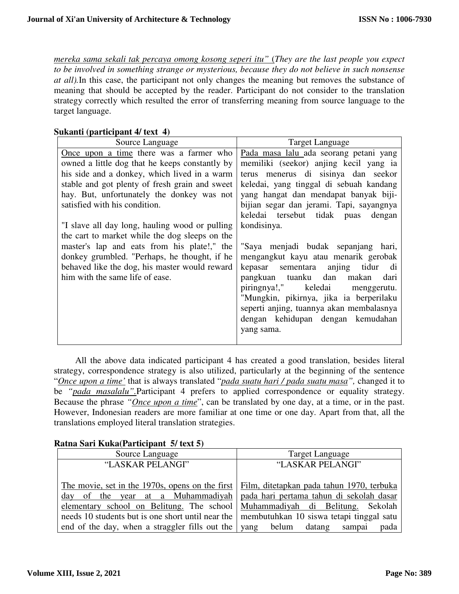*mereka sama sekali tak percaya omong kosong seperi itu"* (*They are the last people you expect to be involved in something strange or mysterious, because they do not believe in such nonsense at all).*In this case, the participant not only changes the meaning but removes the substance of meaning that should be accepted by the reader. Participant do not consider to the translation strategy correctly which resulted the error of transferring meaning from source language to the target language.

#### **Sukanti (participant 4/ text 4)**

| Source Language                                | <b>Target Language</b>                   |
|------------------------------------------------|------------------------------------------|
| Once upon a time there was a farmer who        | Pada masa lalu ada seorang petani yang   |
| owned a little dog that he keeps constantly by | memiliki (seekor) anjing kecil yang ia   |
| his side and a donkey, which lived in a warm   | terus menerus di sisinya dan seekor      |
| stable and got plenty of fresh grain and sweet | keledai, yang tinggal di sebuah kandang  |
| hay. But, unfortunately the donkey was not     | yang hangat dan mendapat banyak biji-    |
| satisfied with his condition.                  | bijian segar dan jerami. Tapi, sayangnya |
|                                                | keledai tersebut tidak puas dengan       |
| "I slave all day long, hauling wood or pulling | kondisinya.                              |
| the cart to market while the dog sleeps on the |                                          |
| master's lap and eats from his plate!," the    | "Saya menjadi budak sepanjang hari,      |
| donkey grumbled. "Perhaps, he thought, if he   | mengangkut kayu atau menarik gerobak     |
| behaved like the dog, his master would reward  | kepasar sementara anjing tidur di        |
| him with the same life of ease.                | pangkuan tuanku dan makan<br>dari        |
|                                                | piringnya!," keledai menggerutu.         |
|                                                | "Mungkin, pikirnya, jika ia berperilaku  |
|                                                | seperti anjing, tuannya akan membalasnya |
|                                                | dengan kehidupan dengan kemudahan        |
|                                                | yang sama.                               |
|                                                |                                          |

All the above data indicated participant 4 has created a good translation, besides literal strategy, correspondence strategy is also utilized, particularly at the beginning of the sentence "*Once upon a time'* that is always translated "*pada suatu hari / pada suatu masa",* changed it to be *"pada masalalu"*.Participant 4 prefers to applied correspondence or equality strategy. Because the phrase *"Once upon a time*", can be translated by one day, at a time, or in the past. However, Indonesian readers are more familiar at one time or one day. Apart from that, all the translations employed literal translation strategies.

#### Source Language Target Language "LASKAR PELANGI" The movie, set in the 1970s, opens on the first day of the year at a Muhammadiyah elementary school on Belitung. The school needs 10 students but is one short until near the end of the day, when a straggler fills out the "LASKAR PELANGI" Film, ditetapkan pada tahun 1970, terbuka pada hari pertama tahun di sekolah dasar Muhammadiyah di Belitung. Sekolah membutuhkan 10 siswa tetapi tinggal satu yang belum datang sampai pada

# **Ratna Sari Kuka(Participant 5/ text 5)**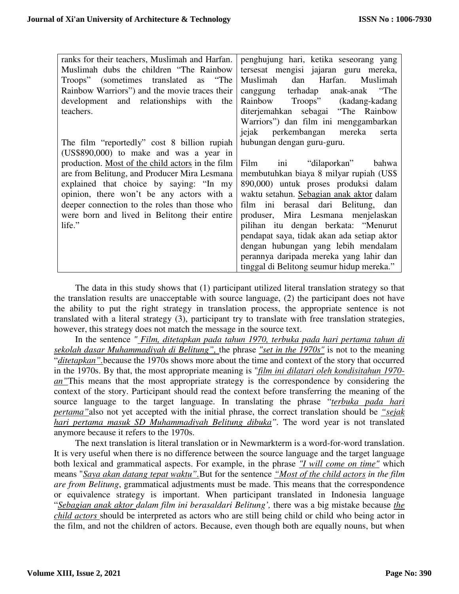| ranks for their teachers, Muslimah and Harfan.   | penghujung hari, ketika seseorang yang     |
|--------------------------------------------------|--------------------------------------------|
| Muslimah dubs the children "The Rainbow"         | tersesat mengisi jajaran guru mereka,      |
| Troops" (sometimes translated as "The            | Muslimah dan Harfan. Muslimah              |
| Rainbow Warriors") and the movie traces their    | canggung terhadap anak-anak "The           |
| development and relationships with<br>the        | Rainbow Troops" (kadang-kadang             |
| teachers.                                        | diterjemahkan sebagai "The Rainbow         |
|                                                  | Warriors") dan film ini menggambarkan      |
|                                                  | jejak<br>perkembangan mereka<br>serta      |
| The film "reportedly" cost 8 billion rupiah      | hubungan dengan guru-guru.                 |
| $(US$890,000)$ to make and was a year in         |                                            |
| production. Most of the child actors in the film | Film ini "dilaporkan" bahwa                |
| are from Belitung, and Producer Mira Lesmana     | membutuhkan biaya 8 milyar rupiah (US\$    |
| explained that choice by saying: "In my          | 890,000) untuk proses produksi dalam       |
| opinion, there won't be any actors with a        | waktu setahun. Sebagian anak aktor dalam   |
| deeper connection to the roles than those who    | film ini berasal dari Belitung, dan        |
| were born and lived in Belitong their entire     | produser, Mira Lesmana menjelaskan         |
| life."                                           | pilihan itu dengan berkata: "Menurut       |
|                                                  | pendapat saya, tidak akan ada setiap aktor |
|                                                  | dengan hubungan yang lebih mendalam        |
|                                                  | perannya daripada mereka yang lahir dan    |
|                                                  | tinggal di Belitong seumur hidup mereka."  |

The data in this study shows that (1) participant utilized literal translation strategy so that the translation results are unacceptable with source language, (2) the participant does not have the ability to put the right strategy in translation process, the appropriate sentence is not translated with a literal strategy (3), participant try to translate with free translation strategies, however, this strategy does not match the message in the source text.

In the sentence *" Film, ditetapkan pada tahun 1970, terbuka pada hari pertama tahun di sekolah dasar Muhammadiyah di Belitung",* the phrase *"set in the 1970s"* is not to the meaning "*ditetapkan".*because the 1970s shows more about the time and context of the story that occurred in the 1970s. By that, the most appropriate meaning is "*film ini dilatari oleh kondisitahun 1970 an* "This means that the most appropriate strategy is the correspondence by considering the context of the story. Participant should read the context before transferring the meaning of the source language to the target language. In translating the phrase "*terbuka pada hari pertama"*also not yet accepted with the initial phrase, the correct translation should be *"sejak hari pertama masuk SD Muhammadiyah Belitung dibuka".* The word year is not translated anymore because it refers to the 1970s.

The next translation is literal translation or in Newmarkterm is a word-for-word translation. It is very useful when there is no difference between the source language and the target language both lexical and grammatical aspects. For example, in the phrase *"I will come on time"* which means "*Saya akan datang tepat waktu".*But for the sentence *"Most of the child actors in the film are from Belitung*, grammatical adjustments must be made. This means that the correspondence or equivalence strategy is important. When participant translated in Indonesia language "*Sebagian anak aktor dalam film ini berasaldari Belitung',* there was a big mistake because *the child actors* should be interpreted as actors who are still being child or child who being actor in the film, and not the children of actors. Because, even though both are equally nouns, but when